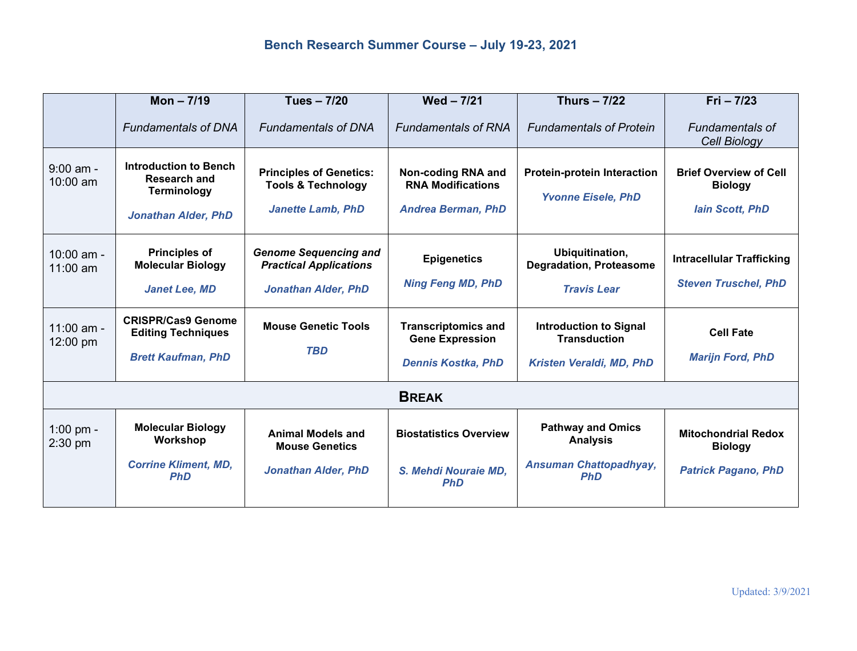|                            | Mon $-7/19$                                                                                             | Tues - 7/20                                                                                 | $Wed - 7/21$                                                                      | <b>Thurs - 7/22</b>                                                                        | $Fig. - 7/23$                                                              |  |  |  |
|----------------------------|---------------------------------------------------------------------------------------------------------|---------------------------------------------------------------------------------------------|-----------------------------------------------------------------------------------|--------------------------------------------------------------------------------------------|----------------------------------------------------------------------------|--|--|--|
|                            | <b>Fundamentals of DNA</b>                                                                              | <b>Fundamentals of DNA</b>                                                                  | <b>Fundamentals of RNA</b>                                                        | <b>Fundamentals of Protein</b>                                                             | <b>Fundamentals of</b><br>Cell Biology                                     |  |  |  |
| $9:00$ am -<br>$10:00$ am  | <b>Introduction to Bench</b><br><b>Research and</b><br><b>Terminology</b><br><b>Jonathan Alder, PhD</b> | <b>Principles of Genetics:</b><br><b>Tools &amp; Technology</b><br><b>Janette Lamb, PhD</b> | Non-coding RNA and<br><b>RNA Modifications</b><br><b>Andrea Berman, PhD</b>       | <b>Protein-protein Interaction</b><br><b>Yvonne Eisele, PhD</b>                            | <b>Brief Overview of Cell</b><br><b>Biology</b><br><b>lain Scott, PhD</b>  |  |  |  |
| $10:00$ am -<br>$11:00$ am | <b>Principles of</b><br><b>Molecular Biology</b><br><b>Janet Lee, MD</b>                                | <b>Genome Sequencing and</b><br><b>Practical Applications</b><br><b>Jonathan Alder, PhD</b> | <b>Epigenetics</b><br><b>Ning Feng MD, PhD</b>                                    | Ubiquitination,<br><b>Degradation, Proteasome</b><br><b>Travis Lear</b>                    | <b>Intracellular Trafficking</b><br><b>Steven Truschel, PhD</b>            |  |  |  |
| 11:00 am -<br>12:00 pm     | <b>CRISPR/Cas9 Genome</b><br><b>Editing Techniques</b><br><b>Brett Kaufman, PhD</b>                     | <b>Mouse Genetic Tools</b><br><b>TBD</b>                                                    | <b>Transcriptomics and</b><br><b>Gene Expression</b><br><b>Dennis Kostka, PhD</b> | <b>Introduction to Signal</b><br><b>Transduction</b><br>Kristen Veraldi, MD, PhD           | <b>Cell Fate</b><br><b>Marijn Ford, PhD</b>                                |  |  |  |
| <b>BREAK</b>               |                                                                                                         |                                                                                             |                                                                                   |                                                                                            |                                                                            |  |  |  |
| 1:00 pm -<br>2:30 pm       | <b>Molecular Biology</b><br>Workshop<br><b>Corrine Kliment, MD,</b><br><b>PhD</b>                       | <b>Animal Models and</b><br><b>Mouse Genetics</b><br><b>Jonathan Alder, PhD</b>             | <b>Biostatistics Overview</b><br>S. Mehdi Nouraie MD.<br><b>PhD</b>               | <b>Pathway and Omics</b><br><b>Analysis</b><br><b>Ansuman Chattopadhyay,</b><br><b>PhD</b> | <b>Mitochondrial Redox</b><br><b>Biology</b><br><b>Patrick Pagano, PhD</b> |  |  |  |
|                            |                                                                                                         |                                                                                             |                                                                                   |                                                                                            |                                                                            |  |  |  |